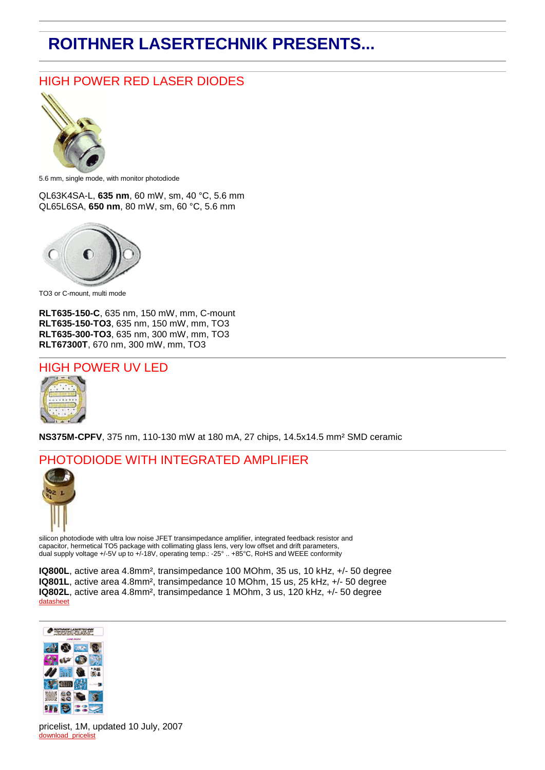## **ROITHNER LASERTECHNIK PRESENTS...**

## HIGH POWER RED LASER DIODES



5.6 mm, single mode, with monitor photodiode

QL63K4SA-L, **635 nm**, 60 mW, sm, 40 °C, 5.6 mm QL65L6SA, **650 nm**, 80 mW, sm, 60 °C, 5.6 mm



TO3 or C-mount, multi mode

**RLT635-150-C**, 635 nm, 150 mW, mm, C-mount **RLT635-150-TO3**, 635 nm, 150 mW, mm, TO3 **RLT635-300-TO3**, 635 nm, 300 mW, mm, TO3 **RLT67300T**, 670 nm, 300 mW, mm, TO3



**NS375M-CPFV**, 375 nm, 110-130 mW at 180 mA, 27 chips, 14.5x14.5 mm² SMD ceramic

## PHOTODIODE WITH INTEGRATED AMPLIFIER



silicon photodiode with ultra low noise JFET transimpedance amplifier, integrated feedback resistor and capacitor, hermetical TO5 package with collimating glass lens, very low offset and drift parameters, dual supply voltage +/-5V up to +/-18V, operating temp.: -25° .. +85°C, RoHS and WEEE conformity

**IQ800L**, active area 4.8mm², transimpedance 100 MOhm, 35 us, 10 kHz, +/- 50 degree **IQ801L**, active area 4.8mm², transimpedance 10 MOhm, 15 us, 25 kHz, +/- 50 degree **IQ802L**, active area 4.8mm², transimpedance 1 MOhm, 3 us, 120 kHz, +/- 50 degree [datasheet](http://www.roithner-laser.com/All_Datasheets/Photodiodes/IQ800L_series.pdf)



pricelist, 1M, updated 10 July, 2007 [download\\_pricelist](http://www.roithner-laser.at/All_Datasheets/Pricelists/pricelist-c-070710.pdf)